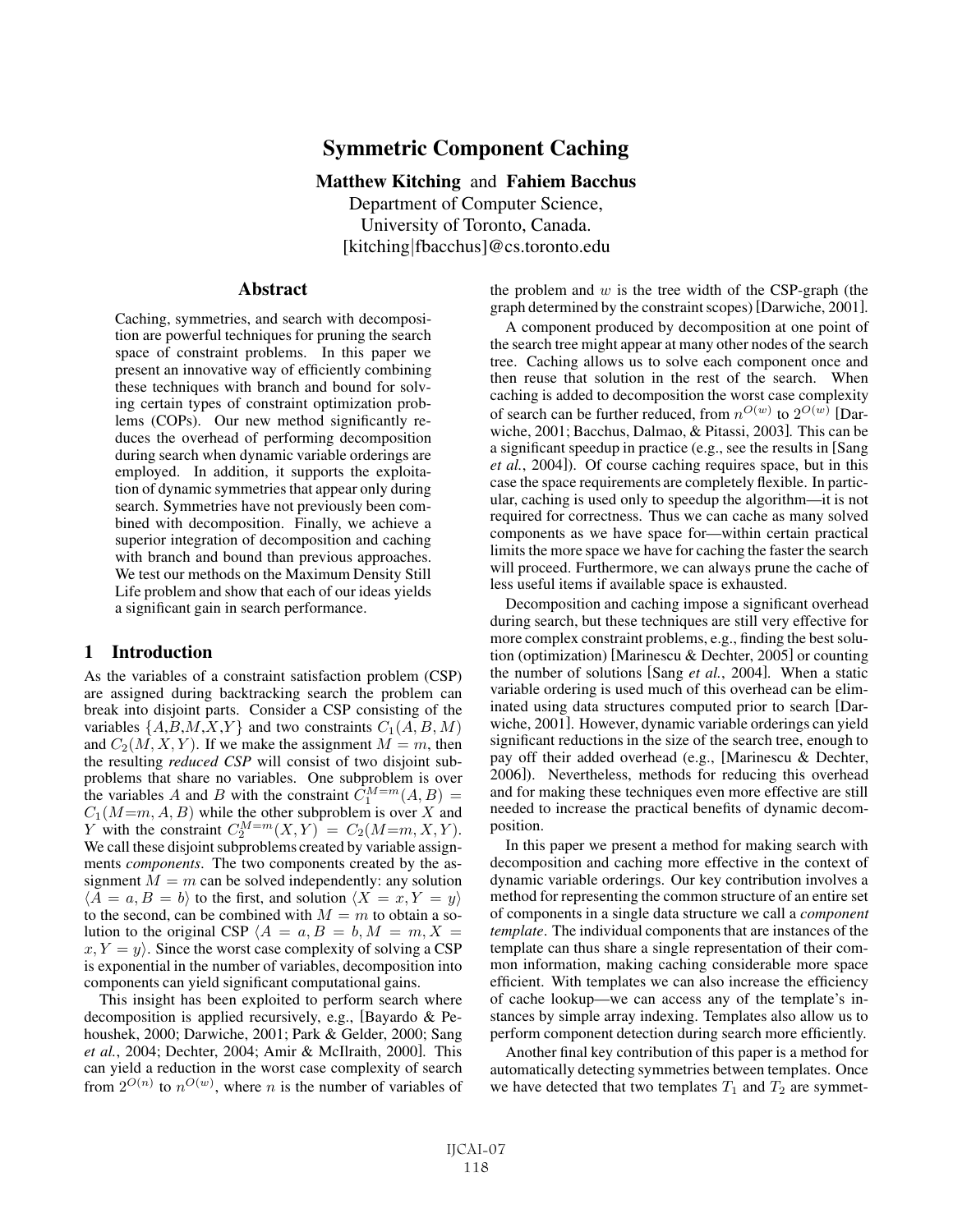# Symmetric Component Caching

## Matthew Kitching and Fahiem Bacchus

Department of Computer Science, University of Toronto, Canada. [kitching|fbacchus]@cs.toronto.edu

## Abstract

Caching, symmetries, and search with decomposition are powerful techniques for pruning the search space of constraint problems. In this paper we present an innovative way of efficiently combining these techniques with branch and bound for solving certain types of constraint optimization problems (COPs). Our new method significantly reduces the overhead of performing decomposition during search when dynamic variable orderings are employed. In addition, it supports the exploitation of dynamic symmetries that appear only during search. Symmetries have not previously been combined with decomposition. Finally, we achieve a superior integration of decomposition and caching with branch and bound than previous approaches. We test our methods on the Maximum Density Still Life problem and show that each of our ideas yields a significant gain in search performance.

## 1 Introduction

As the variables of a constraint satisfaction problem (CSP) are assigned during backtracking search the problem can break into disjoint parts. Consider a CSP consisting of the variables  $\{A,B,M,X,Y\}$  and two constraints  $C_1(A, B, M)$ and  $C_2(M, X, Y)$ . If we make the assignment  $M = m$ , then the resulting *reduced CSP* will consist of two disjoint subproblems that share no variables. One subproblem is over the variables A and B with the constraint  $\dot{C}_1^{M=m}(A, B) =$  $C_1(M=m, A, B)$  while the other subproblem is over X and Y with the constraint  $C_2^{M=m}(X, Y) = C_2(M=m, X, Y)$ . We call these disjoint subproblems created by variable assignments *components*. The two components created by the assignment  $M = m$  can be solved independently: any solution  $\langle \overline{A} = a, B = b \rangle$  to the first, and solution  $\langle X = x, Y = y \rangle$ to the second, can be combined with  $M = m$  to obtain a solution to the original CSP  $\langle A = a, B = b, M = m, X =$  $x, Y = y$ . Since the worst case complexity of solving a CSP is exponential in the number of variables, decomposition into components can yield significant computational gains.

This insight has been exploited to perform search where decomposition is applied recursively, e.g., [Bayardo & Pehoushek, 2000; Darwiche, 2001; Park & Gelder, 2000; Sang *et al.*, 2004; Dechter, 2004; Amir & McIlraith, 2000]. This can yield a reduction in the worst case complexity of search from  $2^{O(n)}$  to  $n^{O(w)}$ , where *n* is the number of variables of the problem and  $w$  is the tree width of the CSP-graph (the graph determined by the constraint scopes) [Darwiche, 2001].

A component produced by decomposition at one point of the search tree might appear at many other nodes of the search tree. Caching allows us to solve each component once and then reuse that solution in the rest of the search. When caching is added to decomposition the worst case complexity of search can be further reduced, from  $n^{O(w)}$  to  $2^{O(w)}$  [Darwiche, 2001; Bacchus, Dalmao, & Pitassi, 2003]. This can be a significant speedup in practice (e.g., see the results in [Sang *et al.*, 2004]). Of course caching requires space, but in this case the space requirements are completely flexible. In particular, caching is used only to speedup the algorithm—it is not required for correctness. Thus we can cache as many solved components as we have space for—within certain practical limits the more space we have for caching the faster the search will proceed. Furthermore, we can always prune the cache of less useful items if available space is exhausted.

Decomposition and caching impose a significant overhead during search, but these techniques are still very effective for more complex constraint problems, e.g., finding the best solution (optimization) [Marinescu & Dechter, 2005] or counting the number of solutions [Sang *et al.*, 2004]. When a static variable ordering is used much of this overhead can be eliminated using data structures computed prior to search [Darwiche, 2001]. However, dynamic variable orderings can yield significant reductions in the size of the search tree, enough to pay off their added overhead (e.g., [Marinescu & Dechter, 2006]). Nevertheless, methods for reducing this overhead and for making these techniques even more effective are still needed to increase the practical benefits of dynamic decomposition.

In this paper we present a method for making search with decomposition and caching more effective in the context of dynamic variable orderings. Our key contribution involves a method for representing the common structure of an entire set of components in a single data structure we call a *component template*. The individual components that are instances of the template can thus share a single representation of their common information, making caching considerable more space efficient. With templates we can also increase the efficiency of cache lookup—we can access any of the template's instances by simple array indexing. Templates also allow us to perform component detection during search more efficiently.

Another final key contribution of this paper is a method for automatically detecting symmetries between templates. Once we have detected that two templates  $T_1$  and  $T_2$  are symmet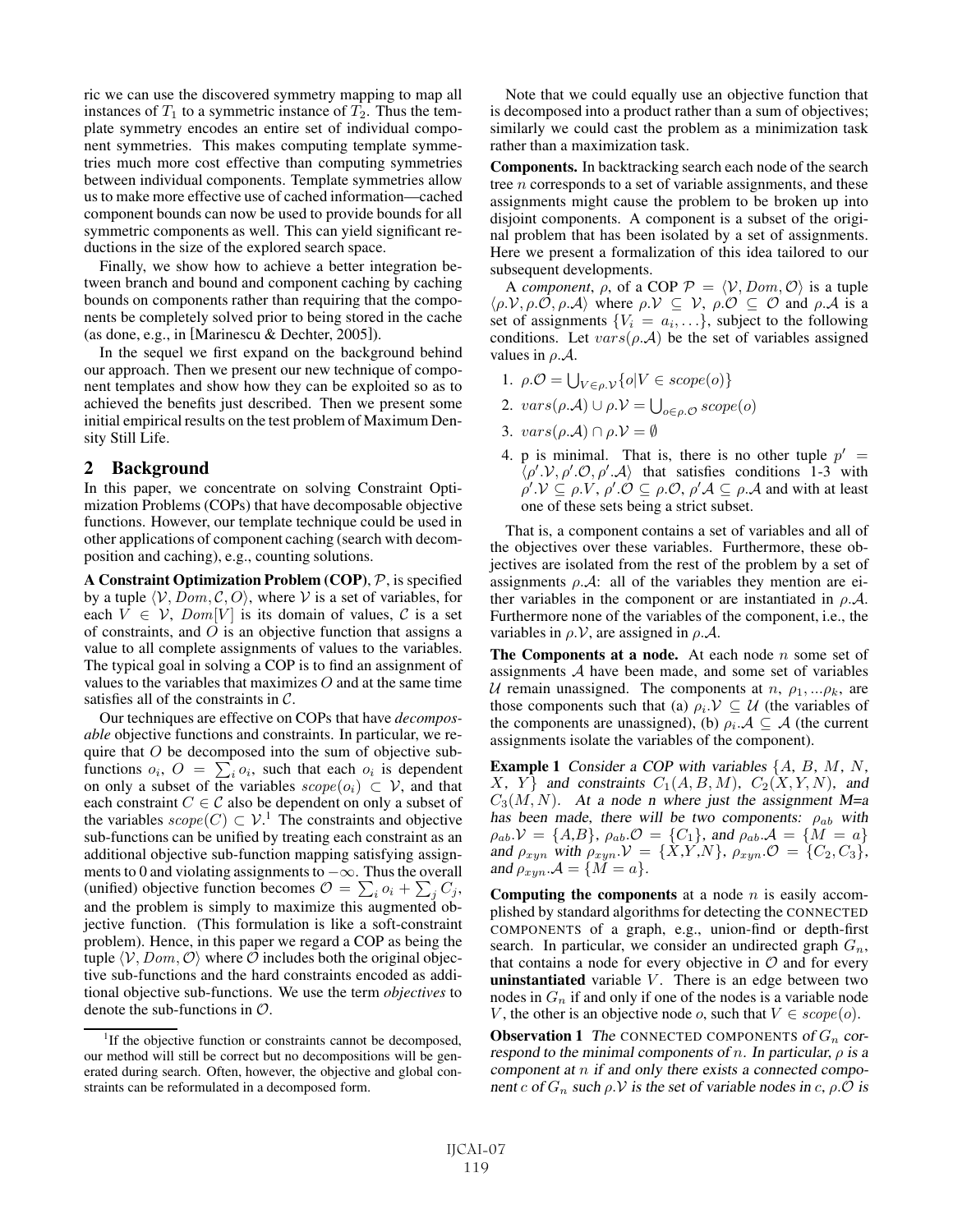ric we can use the discovered symmetry mapping to map all instances of  $T_1$  to a symmetric instance of  $T_2$ . Thus the template symmetry encodes an entire set of individual component symmetries. This makes computing template symmetries much more cost effective than computing symmetries between individual components. Template symmetries allow us to make more effective use of cached information—cached component bounds can now be used to provide bounds for all symmetric components as well. This can yield significant reductions in the size of the explored search space.

Finally, we show how to achieve a better integration between branch and bound and component caching by caching bounds on components rather than requiring that the components be completely solved prior to being stored in the cache (as done, e.g., in [Marinescu & Dechter, 2005]).

In the sequel we first expand on the background behind our approach. Then we present our new technique of component templates and show how they can be exploited so as to achieved the benefits just described. Then we present some initial empirical results on the test problem of Maximum Density Still Life.

### 2 Background

In this paper, we concentrate on solving Constraint Optimization Problems (COPs) that have decomposable objective functions. However, our template technique could be used in other applications of component caching (search with decomposition and caching), e.g., counting solutions.

A Constraint Optimization Problem (COP), P, is specified by a tuple  $\langle V, \overline{Dom}, C, O \rangle$ , where V is a set of variables, for each  $V \in V$ ,  $Dom[V]$  is its domain of values, C is a set of constraints, and  $O$  is an objective function that assigns a value to all complete assignments of values to the variables. The typical goal in solving a COP is to find an assignment of values to the variables that maximizes  $O$  and at the same time satisfies all of the constraints in C.

Our techniques are effective on COPs that have *decomposable* objective functions and constraints. In particular, we require that  $O$  be decomposed into the sum of objective subfunctions  $o_i$ ,  $O = \sum_i o_i$ , such that each  $o_i$  is dependent on only a subset of the variables  $\mathit{scope}(o_i) \subset \mathcal{V}$ , and that each constraint  $C \in \mathcal{C}$  also be dependent on only a subset of the variables  $\textit{scope}(C) \subset \mathcal{V}$ .<sup>1</sup> The constraints and objective sub-functions can be unified by treating each constraint as an additional objective sub-function mapping satisfying assignments to 0 and violating assignments to −∞. Thus the overall (unified) objective function becomes  $\mathcal{O} = \sum_i o_i + \sum_j C_j$ , and the problem is simply to maximize this augmented objective function. (This formulation is like a soft-constraint problem). Hence, in this paper we regard a COP as being the tuple  $\langle V, Dom, O \rangle$  where O includes both the original objective sub-functions and the hard constraints encoded as additional objective sub-functions. We use the term *objectives* to denote the sub-functions in  $\mathcal{O}$ .

Note that we could equally use an objective function that is decomposed into a product rather than a sum of objectives; similarly we could cast the problem as a minimization task rather than a maximization task.

Components. In backtracking search each node of the search tree *n* corresponds to a set of variable assignments, and these assignments might cause the problem to be broken up into disjoint components. A component is a subset of the original problem that has been isolated by a set of assignments. Here we present a formalization of this idea tailored to our subsequent developments.

A *component*,  $\rho$ , of a COP  $P = \langle V, Dom, O \rangle$  is a tuple  $\langle \rho. \mathcal{V}, \rho. \mathcal{O}, \rho. \mathcal{A} \rangle$  where  $\rho. \mathcal{V} \subseteq \mathcal{V}$ ,  $\rho. \mathcal{O} \subseteq \mathcal{O}$  and  $\rho. \mathcal{A}$  is a set of assignments  $\{V_i = a_i, \ldots\}$ , subject to the following conditions. Let  $vars(\rho.A)$  be the set of variables assigned values in  $\rho.A$ .

- 1.  $\rho \mathcal{O} = \bigcup_{V \in \rho, \mathcal{V}} \{o | V \in scope(o)\}$
- 2.  $vars(\rho.A) \cup \rho.V = \bigcup_{o \in \rho.O} scope(o)$
- 3.  $vars(\rho.A) \cap \rho.V = \emptyset$
- 4. p is minimal. That is, there is no other tuple  $p' =$  $\langle \rho' \mathcal{Y}, \rho' \mathcal{O}, \rho' \mathcal{A} \rangle$  that satisfies conditions 1-3 with  $\rho' \mathcal{N} \subseteq \rho \mathcal{N}, \rho' \mathcal{O} \subseteq \rho \mathcal{O}, \rho' \mathcal{A} \subseteq \rho \mathcal{A}$  and with at least one of these sets being a strict subset.

That is, a component contains a set of variables and all of the objectives over these variables. Furthermore, these objectives are isolated from the rest of the problem by a set of assignments  $\rho \mathcal{A}$ : all of the variables they mention are either variables in the component or are instantiated in  $\rho.A$ . Furthermore none of the variables of the component, i.e., the variables in  $\rho$ . $V$ , are assigned in  $\rho$ . $A$ .

The Components at a node. At each node  $n$  some set of assignments A have been made, and some set of variables U remain unassigned. The components at  $n, \rho_1, \ldots, \rho_k$ , are those components such that (a)  $\rho_i \mathcal{V} \subseteq \mathcal{U}$  (the variables of the components are unassigned), (b)  $\rho_i \mathcal{A} \subseteq \mathcal{A}$  (the current assignments isolate the variables of the component).

**Example 1** Consider a COP with variables  $\{A, B, M, N, \}$  $X, Y$  and constraints  $C_1(A, B, M)$ ,  $C_2(X, Y, N)$ , and  $C_3(M,N)$ . At a node n where just the assignment M=a has been made, there will be two components:  $\rho_{ab}$  with  $\rho_{ab}$ ,  $\mathcal{V} = \{A, B\}$ ,  $\rho_{ab}$ ,  $\mathcal{O} = \{C_1\}$ , and  $\rho_{ab}$ ,  $\mathcal{A} = \{\tilde{M} = a\}$ and  $\rho_{xyn}$  with  $\rho_{xyn}$   $\mathcal{V} = \{X, Y, N\}$ ,  $\rho_{xyn}$   $\mathcal{O} = \{C_2, C_3\}$ , and  $\rho_{xyn} \cdot A = \{M = a\}.$ 

**Computing the components** at a node  $n$  is easily accomplished by standard algorithms for detecting the CONNECTED COMPONENTS of a graph, e.g., union-find or depth-first search. In particular, we consider an undirected graph  $G_n$ , that contains a node for every objective in  $\mathcal O$  and for every **uninstantiated** variable  $V$ . There is an edge between two nodes in  $G_n$  if and only if one of the nodes is a variable node V, the other is an objective node o, such that  $V \in scope(o)$ .

**Observation 1** The CONNECTED COMPONENTS of  $G_n$  correspond to the minimal components of n. In particular,  $\rho$  is a component at  $n$  if and only there exists a connected component c of  $G_n$  such  $\rho$ . V is the set of variable nodes in c,  $\rho$ .  $\mathcal O$  is

<sup>&</sup>lt;sup>1</sup>If the objective function or constraints cannot be decomposed, our method will still be correct but no decompositions will be generated during search. Often, however, the objective and global constraints can be reformulated in a decomposed form.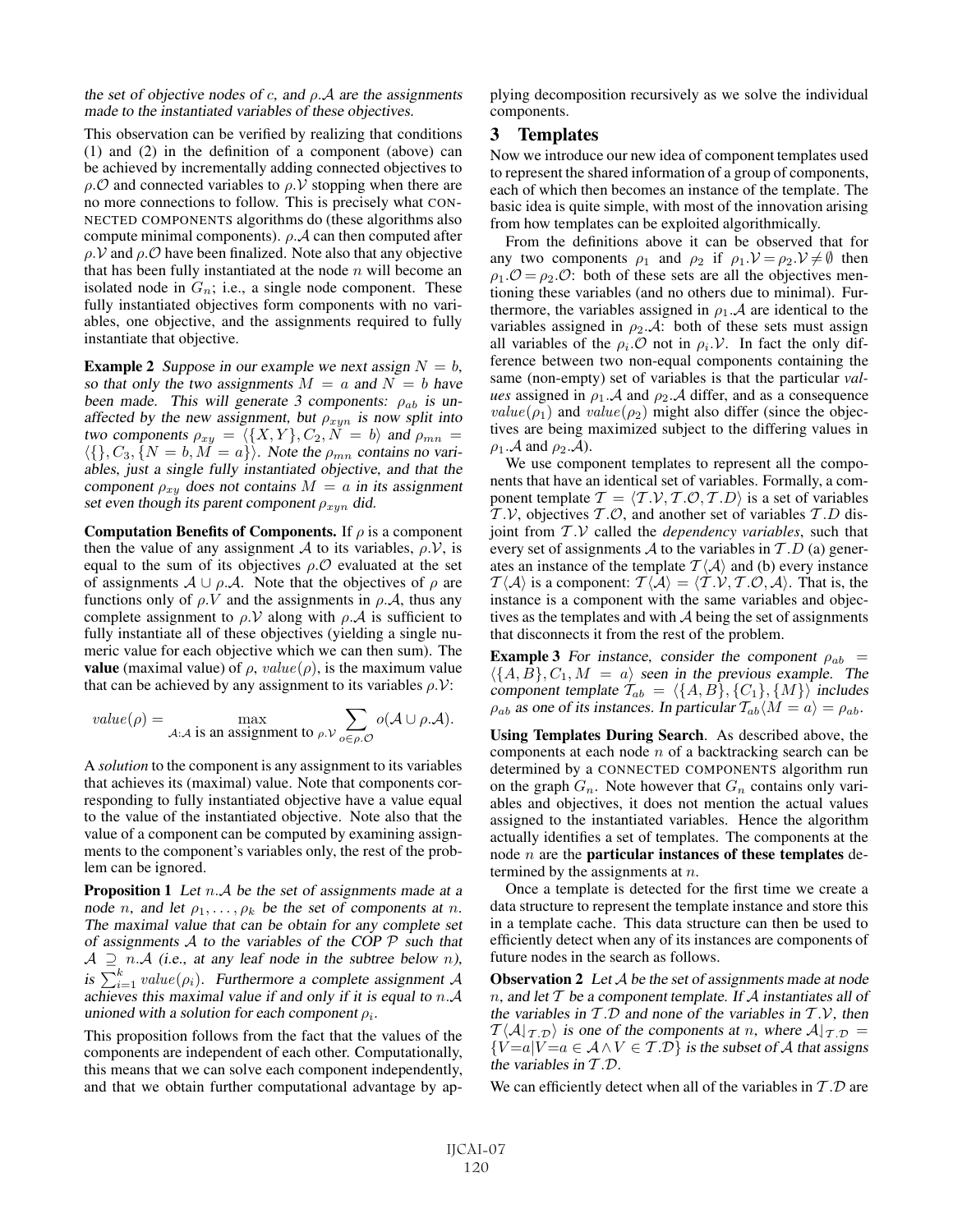the set of objective nodes of c, and  $\rho$ . A are the assignments made to the instantiated variables of these objectives.

This observation can be verified by realizing that conditions (1) and (2) in the definition of a component (above) can be achieved by incrementally adding connected objectives to  $\rho$ . $\mathcal O$  and connected variables to  $\rho$ . $\mathcal V$  stopping when there are no more connections to follow. This is precisely what CON-NECTED COMPONENTS algorithms do (these algorithms also compute minimal components).  $\rho \mathcal{A}$  can then computed after  $\rho$ . V and  $\rho$ . O have been finalized. Note also that any objective that has been fully instantiated at the node  $n$  will become an isolated node in  $G_n$ ; i.e., a single node component. These fully instantiated objectives form components with no variables, one objective, and the assignments required to fully instantiate that objective.

**Example 2** Suppose in our example we next assign  $N = b$ , so that only the two assignments  $M = a$  and  $N = b$  have been made. This will generate 3 components:  $\rho_{ab}$  is unaffected by the new assignment, but  $\rho_{xyn}$  is now split into two components  $\rho_{xy} = \langle \{X, Y\}, C_2, N = b \rangle$  and  $\rho_{mn} =$  $\langle \{\}, C_3, \{N = b, M = a\} \rangle$ . Note the  $\rho_{mn}$  contains no variables, just <sup>a</sup> single fully instantiated objective, and that the component  $\rho_{xy}$  does not contains  $M = a$  in its assignment set even though its parent component  $\rho_{xyn}$  did.

**Computation Benefits of Components.** If  $\rho$  is a component then the value of any assignment A to its variables,  $\rho$ . $V$ , is equal to the sum of its objectives  $\rho \mathcal{O}$  evaluated at the set of assignments  $A \cup \rho.A$ . Note that the objectives of  $\rho$  are functions only of  $\rho$ . V and the assignments in  $\rho$ . A, thus any complete assignment to  $\rho$ . V along with  $\rho$ . A is sufficient to fully instantiate all of these objectives (yielding a single numeric value for each objective which we can then sum). The **value** (maximal value) of  $\rho$ , value( $\rho$ ), is the maximum value that can be achieved by any assignment to its variables  $\rho$ . $V$ :

value(
$$
\rho
$$
) = max  
 $A:A$  is an assignment to  $\rho.V$   $\sum_{o \in \rho.O}$   $o(A \cup \rho.A)$ .

A *solution* to the component is any assignment to its variables that achieves its (maximal) value. Note that components corresponding to fully instantiated objective have a value equal to the value of the instantiated objective. Note also that the value of a component can be computed by examining assignments to the component's variables only, the rest of the problem can be ignored.

**Proposition 1** Let  $n.A$  be the set of assignments made at a node n, and let  $\rho_1, \ldots, \rho_k$  be the set of components at n. The maximal value that can be obtain for any complete set of assignments  $A$  to the variables of the COP  $P$  such that  $A \supseteq n.A$  (i.e., at any leaf node in the subtree below n), is  $\sum_{i=1}^{k} value(\rho_i)$ . Furthermore a complete assignment A achieves this maximal value if and only if it is equal to  $n.A$ unioned with a solution for each component  $\rho_i$ .

This proposition follows from the fact that the values of the components are independent of each other. Computationally, this means that we can solve each component independently, and that we obtain further computational advantage by applying decomposition recursively as we solve the individual components.

## 3 Templates

Now we introduce our new idea of component templates used to represent the shared information of a group of components, each of which then becomes an instance of the template. The basic idea is quite simple, with most of the innovation arising from how templates can be exploited algorithmically.

From the definitions above it can be observed that for any two components  $\rho_1$  and  $\rho_2$  if  $\rho_1 \mathcal{V} = \rho_2 \mathcal{V} \neq \emptyset$  then  $\rho_1$ . $\mathcal{O} = \rho_2$ . $\mathcal{O}$ : both of these sets are all the objectives mentioning these variables (and no others due to minimal). Furthermore, the variables assigned in  $\rho_1$ . A are identical to the variables assigned in  $\rho_2 \mathcal{A}$ : both of these sets must assign all variables of the  $\rho_i$ . O not in  $\rho_i$ . V. In fact the only difference between two non-equal components containing the same (non-empty) set of variables is that the particular *values* assigned in  $\rho_1$ . A and  $\rho_2$ . A differ, and as a consequence  $value(\rho_1)$  and  $value(\rho_2)$  might also differ (since the objectives are being maximized subject to the differing values in  $\rho_1$ . A and  $\rho_2$ . A).

We use component templates to represent all the components that have an identical set of variables. Formally, a component template  $T = \langle T.V, T.O, T.D \rangle$  is a set of variables  $T.V$ , objectives  $T.O$ , and another set of variables  $T.D$  disjoint from T .V called the *dependency variables*, such that every set of assignments A to the variables in  $T.D$  (a) generates an instance of the template  $T \langle A \rangle$  and (b) every instance  $\mathcal{T}\langle \mathcal{A}\rangle$  is a component:  $\mathcal{T}\langle \mathcal{A}\rangle = \langle \mathcal{T}.\mathcal{V}, \mathcal{T}.\mathcal{O}, \mathcal{A}\rangle$ . That is, the instance is a component with the same variables and objectives as the templates and with  $A$  being the set of assignments that disconnects it from the rest of the problem.

**Example 3** For instance, consider the component  $\rho_{ab}$  =  $\langle \{A, \vec{B}\}, C_1, M = a \rangle$  seen in the previous example. The component template  $T_{ab} = \langle \{A, B\}, \{C_1\}, \{M\} \rangle$  includes  $\rho_{ab}$  as one of its instances. In particular  $\mathcal{T}_{ab}\langle M=a\rangle = \rho_{ab}$ .

Using Templates During Search. As described above, the components at each node  $n$  of a backtracking search can be determined by a CONNECTED COMPONENTS algorithm run on the graph  $G_n$ . Note however that  $G_n$  contains only variables and objectives, it does not mention the actual values assigned to the instantiated variables. Hence the algorithm actually identifies a set of templates. The components at the node  $n$  are the **particular instances of these templates** determined by the assignments at  $n$ .

Once a template is detected for the first time we create a data structure to represent the template instance and store this in a template cache. This data structure can then be used to efficiently detect when any of its instances are components of future nodes in the search as follows.

**Observation 2** Let  $A$  be the set of assignments made at node n, and let  $T$  be a component template. If  $A$  instantiates all of the variables in  $T.D$  and none of the variables in  $T.V$ , then  $T\langle A|_{T,D}\rangle$  is one of the components at n, where  $A|_{T,D} =$  ${V=a|V=a \in A \land V \in T.D}$  is the subset of A that assigns the variables in  $T.D$ .

We can efficiently detect when all of the variables in  $T.D$  are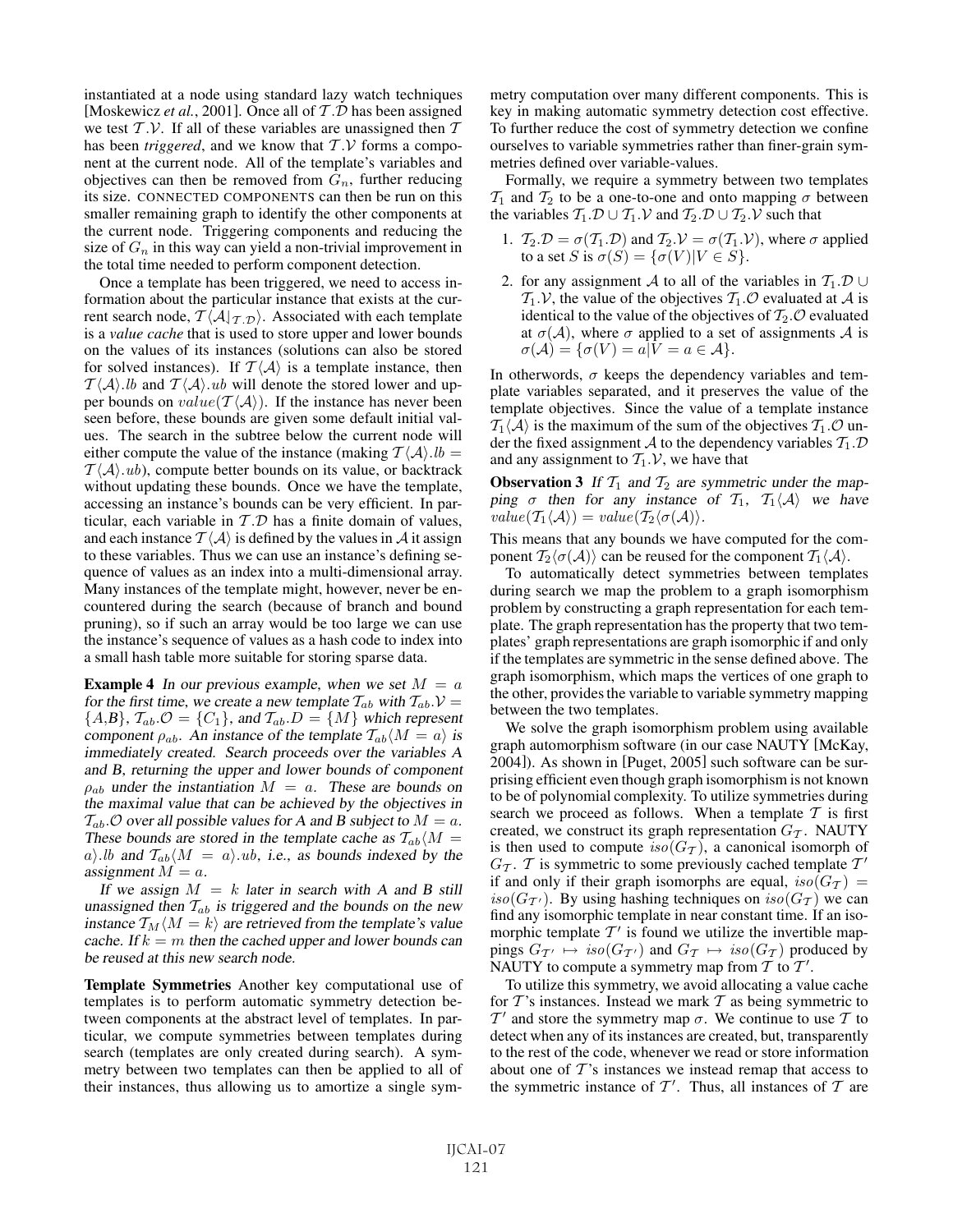instantiated at a node using standard lazy watch techniques [Moskewicz *et al.*, 2001]. Once all of T.D has been assigned we test  $T.V.$  If all of these variables are unassigned then  $T$ has been *triggered*, and we know that  $T.V$  forms a component at the current node. All of the template's variables and objectives can then be removed from  $G_n$ , further reducing its size. CONNECTED COMPONENTS can then be run on this smaller remaining graph to identify the other components at the current node. Triggering components and reducing the size of  $G_n$  in this way can yield a non-trivial improvement in the total time needed to perform component detection.

Once a template has been triggered, we need to access information about the particular instance that exists at the current search node,  $T \langle A |_{T,D} \rangle$ . Associated with each template is a *value cache* that is used to store upper and lower bounds on the values of its instances (solutions can also be stored for solved instances). If  $T\langle A \rangle$  is a template instance, then  $T\langle A \rangle$ . *lb* and  $T\langle A \rangle$ . *ub* will denote the stored lower and upper bounds on  $value(\mathcal{T}\langle \mathcal{A}\rangle)$ . If the instance has never been seen before, these bounds are given some default initial values. The search in the subtree below the current node will either compute the value of the instance (making  $\mathcal{T}(\mathcal{A})$ .  $lb =$  $T\langle A \rangle.ub$ , compute better bounds on its value, or backtrack without updating these bounds. Once we have the template, accessing an instance's bounds can be very efficient. In particular, each variable in  $T.D$  has a finite domain of values, and each instance  $\mathcal{T}\langle \mathcal{A}\rangle$  is defined by the values in  $\mathcal{A}$  it assign to these variables. Thus we can use an instance's defining sequence of values as an index into a multi-dimensional array. Many instances of the template might, however, never be encountered during the search (because of branch and bound pruning), so if such an array would be too large we can use the instance's sequence of values as a hash code to index into a small hash table more suitable for storing sparse data.

**Example 4** In our previous example, when we set  $M = a$ for the first time, we create a new template  $T_{ab}$  with  $T_{ab}$ .  $V =$  ${A,B}, T_{ab}$ .  $\mathcal{O} = {C_1}$ , and  $T_{ab}$ .  $D = {M}$  which represent component  $\rho_{ab}$ . An instance of the template  $T_{ab}\langle M = a \rangle$  is immediately created. Search proceeds over the variables A and B, returning the upper and lower bounds of component  $\rho_{ab}$  under the instantiation  $M = a$ . These are bounds on the maximal value that can be achieved by the objectives in  $T_{ab}$ . O over all possible values for A and B subject to  $M = a$ . These bounds are stored in the template cache as  $T_{ab}\langle M\rangle =$ a). *lb* and  $\mathcal{T}_{ab}\langle M = a \rangle$  ub, i.e., as bounds indexed by the assignment  $M = a$ .

If we assign  $M = k$  later in search with A and B still unassigned then  $T_{ab}$  is triggered and the bounds on the new instance  $T_M \langle M = k \rangle$  are retrieved from the template's value cache. If  $k = m$  then the cached upper and lower bounds can be reused at this new search node.

Template Symmetries Another key computational use of templates is to perform automatic symmetry detection between components at the abstract level of templates. In particular, we compute symmetries between templates during search (templates are only created during search). A symmetry between two templates can then be applied to all of their instances, thus allowing us to amortize a single symmetry computation over many different components. This is key in making automatic symmetry detection cost effective. To further reduce the cost of symmetry detection we confine ourselves to variable symmetries rather than finer-grain symmetries defined over variable-values.

Formally, we require a symmetry between two templates  $T_1$  and  $T_2$  to be a one-to-one and onto mapping  $\sigma$  between the variables  $T_1 \mathcal{D} \cup T_1 \mathcal{V}$  and  $T_2 \mathcal{D} \cup T_2 \mathcal{V}$  such that

- 1.  $\mathcal{T}_2 \cdot \mathcal{D} = \sigma(\mathcal{T}_1 \cdot \mathcal{D})$  and  $\mathcal{T}_2 \cdot \mathcal{V} = \sigma(\mathcal{T}_1 \cdot \mathcal{V})$ , where  $\sigma$  applied to a set S is  $\sigma(S) = {\sigma(V)|V \in S}$ .
- 2. for any assignment A to all of the variables in  $T_1 \mathcal{D} \cup$  $T_1$ . V, the value of the objectives  $T_1$ . O evaluated at A is identical to the value of the objectives of  $T_2$ . O evaluated at  $\sigma(\mathcal{A})$ , where  $\sigma$  applied to a set of assignments  $\mathcal A$  is  $\sigma(\mathcal{A}) = {\sigma(V) = a|V = a \in \mathcal{A}}.$

In otherwords,  $\sigma$  keeps the dependency variables and template variables separated, and it preserves the value of the template objectives. Since the value of a template instance  $\mathcal{T}_1\langle A \rangle$  is the maximum of the sum of the objectives  $\mathcal{T}_1 \langle O \rangle$  under the fixed assignment A to the dependency variables  $T_1 \mathcal{D}$ and any assignment to  $T_1$ . V, we have that

**Observation 3** If  $T_1$  and  $T_2$  are symmetric under the mapping  $\sigma$  then for any instance of  $\mathcal{T}_1$ ,  $\mathcal{T}_1\langle \mathcal{A} \rangle$  we have  $value(\mathcal{T}_1\langle \mathcal{A}\rangle) = value(\mathcal{T}_2\langle \sigma(\mathcal{A})\rangle).$ 

This means that any bounds we have computed for the component  $\mathcal{T}_2\langle \sigma(\mathcal{A})\rangle$  can be reused for the component  $\mathcal{T}_1\langle \mathcal{A}\rangle$ .

To automatically detect symmetries between templates during search we map the problem to a graph isomorphism problem by constructing a graph representation for each template. The graph representation has the property that two templates' graph representations are graph isomorphic if and only if the templates are symmetric in the sense defined above. The graph isomorphism, which maps the vertices of one graph to the other, provides the variable to variable symmetry mapping between the two templates.

We solve the graph isomorphism problem using available graph automorphism software (in our case NAUTY [McKay, 2004]). As shown in [Puget, 2005] such software can be surprising efficient even though graph isomorphism is not known to be of polynomial complexity. To utilize symmetries during search we proceed as follows. When a template  $T$  is first created, we construct its graph representation  $G_{\mathcal{T}}$ . NAUTY is then used to compute  $iso(G_{\mathcal{T}})$ , a canonical isomorph of  $G_{\mathcal{T}}$ . T is symmetric to some previously cached template  $\mathcal{T}'$ if and only if their graph isomorphs are equal,  $iso(G_{\mathcal{T}})$  = iso( $G_{\mathcal{T}}$ ). By using hashing techniques on  $iso(G_{\mathcal{T}})$  we can find any isomorphic template in near constant time. If an isomorphic template  $T'$  is found we utilize the invertible mappings  $G_{\mathcal{T}} \mapsto iso(G_{\mathcal{T}})$  and  $G_{\mathcal{T}} \mapsto iso(G_{\mathcal{T}})$  produced by NAUTY to compute a symmetry map from  $\overline{T}$  to  $\overline{T}$ .

To utilize this symmetry, we avoid allocating a value cache for  $T$ 's instances. Instead we mark  $T$  as being symmetric to  $T'$  and store the symmetry map  $\sigma$ . We continue to use T to detect when any of its instances are created, but, transparently to the rest of the code, whenever we read or store information about one of  $T$ 's instances we instead remap that access to the symmetric instance of  $T'$ . Thus, all instances of  $T$  are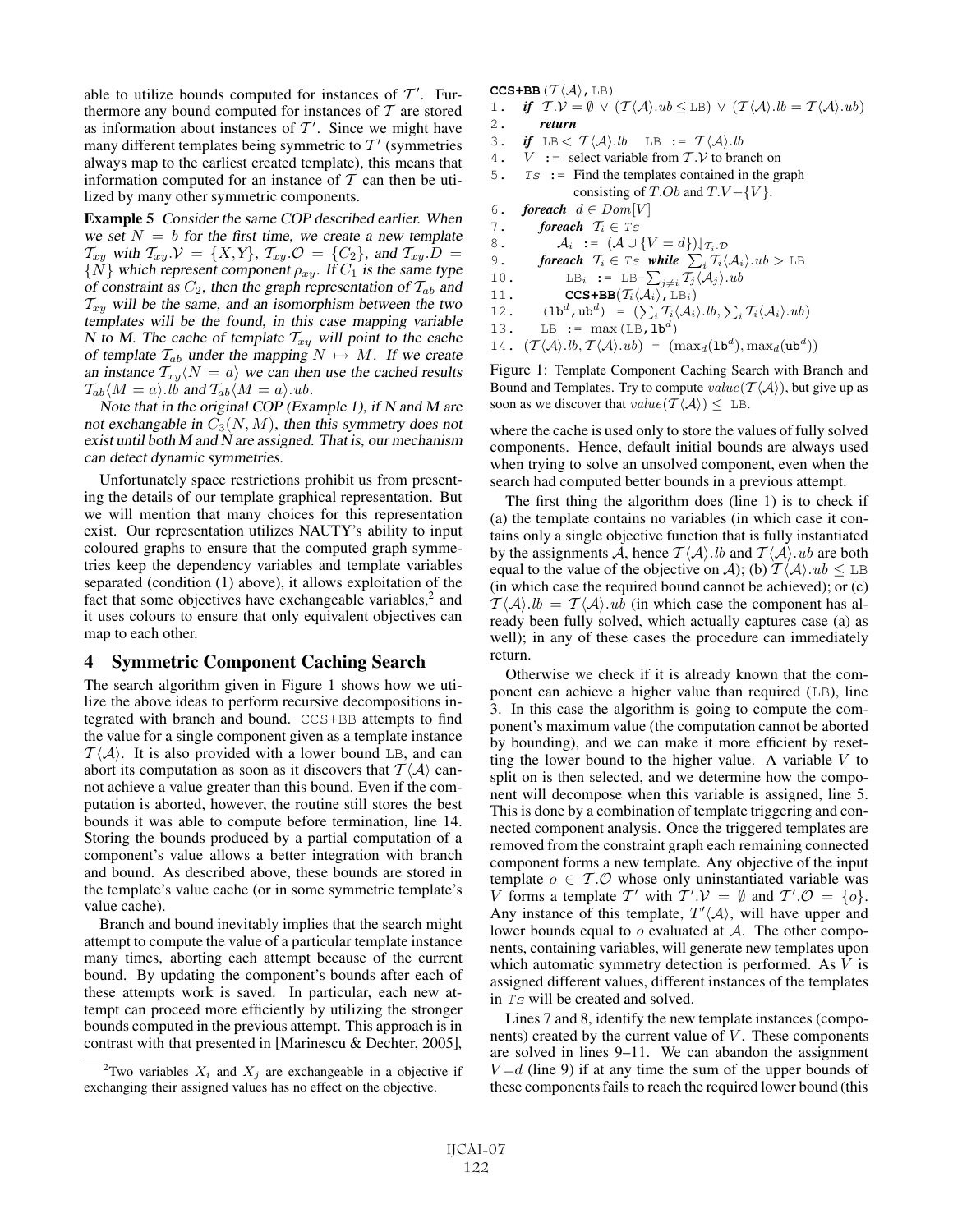able to utilize bounds computed for instances of  $\mathcal{T}'$ . Furthermore any bound computed for instances of  $T$  are stored as information about instances of  $T'$ . Since we might have many different templates being symmetric to  $T'$  (symmetries always map to the earliest created template), this means that information computed for an instance of  $T$  can then be utilized by many other symmetric components.

Example 5 Consider the same COP described earlier. When we set  $N = b$  for the first time, we create a new template  $\mathcal{T}_{xy}$  with  $\mathcal{T}_{xy} \mathcal{V} = \{X, Y\}$ ,  $\mathcal{T}_{xy} \mathcal{O} = \{C_2\}$ , and  $\mathcal{T}_{xy} \mathcal{D} =$  $\{N\}$  which represent component  $\rho_{xy}$ . If  $C_1$  is the same type of constraint as  $C_2$ , then the graph representation of  $T_{ab}$  and  $T_{xy}$  will be the same, and an isomorphism between the two templates will be the found, in this case mapping variable N to M. The cache of template  $T_{xy}$  will point to the cache of template  $T_{ab}$  under the mapping  $N \mapsto M$ . If we create an instance  $\overline{T_{xy}}\langle N=a \rangle$  we can then use the cached results  $\mathcal{T}_{ab}\langle M=a\rangle$ . *lb* and  $\mathcal{T}_{ab}\langle M=a\rangle$ . *ub*.

Note that in the original COP (Example 1), if N and M are not exchangable in  $C_3(N,M)$ , then this symmetry does not exist until both M and N are assigned. That is, our mechanism can detect dynamic symmetries.

Unfortunately space restrictions prohibit us from presenting the details of our template graphical representation. But we will mention that many choices for this representation exist. Our representation utilizes NAUTY's ability to input coloured graphs to ensure that the computed graph symmetries keep the dependency variables and template variables separated (condition (1) above), it allows exploitation of the fact that some objectives have exchangeable variables,<sup>2</sup> and it uses colours to ensure that only equivalent objectives can map to each other.

### 4 Symmetric Component Caching Search

The search algorithm given in Figure 1 shows how we utilize the above ideas to perform recursive decompositions integrated with branch and bound. CCS+BB attempts to find the value for a single component given as a template instance  $T\langle A \rangle$ . It is also provided with a lower bound LB, and can abort its computation as soon as it discovers that  $\mathcal{T}\langle \mathcal{A} \rangle$  cannot achieve a value greater than this bound. Even if the computation is aborted, however, the routine still stores the best bounds it was able to compute before termination, line 14. Storing the bounds produced by a partial computation of a component's value allows a better integration with branch and bound. As described above, these bounds are stored in the template's value cache (or in some symmetric template's value cache).

Branch and bound inevitably implies that the search might attempt to compute the value of a particular template instance many times, aborting each attempt because of the current bound. By updating the component's bounds after each of these attempts work is saved. In particular, each new attempt can proceed more efficiently by utilizing the stronger bounds computed in the previous attempt. This approach is in contrast with that presented in [Marinescu & Dechter, 2005],  $CCS+BB(T\langle A \rangle, LB)$ 

- 1. *if*  $T.V = \emptyset \lor (T \langle A \rangle .ub \leq LB) \lor (T \langle A \rangle .lb = T \langle A \rangle .ub)$ 2. *return*
- 3. *if*  $LB < \mathcal{T} \langle A \rangle lib$  LB :=  $\mathcal{T} \langle A \rangle lib$
- 4.  $V :=$  select variable from  $T.V$  to branch on
- 5.  $Ts :=$  Find the templates contained in the graph consisting of  $T.Ob$  and  $T.V - \{V\}$ .
- 6. *foreach*  $d \in Dom[V]$
- 7. *foreach*  $T_i \in \mathit{Ts}$
- 8.  $\mathcal{A}_i := (\mathcal{A} \cup \{V = d\})|_{\mathcal{T}_i \cdot \mathcal{D}}$

```
9. foreach T_i \in \mathit{Ts} while \sum_i T_i \langle A_i \rangle \cdot ub > \mathit{LB}
```
- 10. LB<sub>i</sub> := LB- $\sum_{j\neq i} \overline{T_j} \langle A_j \rangle$ .ub
- 11. **CCS+BB** $(T_i \langle \overline{A_i} \rangle, \overline{L}B_i)$ 12.  $(\mathbf{1}\mathbf{b}^d, \mathbf{u}\mathbf{b}^d) = (\sum_i \mathcal{T}_i \langle \mathcal{A}_i \rangle \mathbf{.} lb, \sum_i \mathcal{T}_i \langle \mathcal{A}_i \rangle \mathbf{.} ub)$

```
13. LB := \max(LB, lb^d)
```

```
14. (\mathcal{T}\langle A\rangle.lb, \mathcal{T}\langle A\rangle.ub) = (\max_d(\mathbf{1}\mathbf{b}^d), \max_d(\mathbf{u}\mathbf{b}^d))
```
Figure 1: Template Component Caching Search with Branch and Bound and Templates. Try to compute  $value(T\langle A \rangle)$ , but give up as soon as we discover that  $value(\mathcal{T}\langle A \rangle) \leq \text{LB}.$ 

where the cache is used only to store the values of fully solved components. Hence, default initial bounds are always used when trying to solve an unsolved component, even when the search had computed better bounds in a previous attempt.

The first thing the algorithm does (line 1) is to check if (a) the template contains no variables (in which case it contains only a single objective function that is fully instantiated by the assignments  $\tilde{A}$ , hence  $T \langle A \rangle$ . *lb* and  $T \langle A \rangle$ . *ub* are both equal to the value of the objective on A); (b)  $\mathcal{T}(\mathcal{A})$ .  $ub \leq \mathbb{L}\mathbb{B}$ (in which case the required bound cannot be achieved); or (c)  $T \langle A \rangle$ .  $lb = T \langle A \rangle$ .  $ub$  (in which case the component has already been fully solved, which actually captures case (a) as well); in any of these cases the procedure can immediately return.

Otherwise we check if it is already known that the component can achieve a higher value than required (LB), line 3. In this case the algorithm is going to compute the component's maximum value (the computation cannot be aborted by bounding), and we can make it more efficient by resetting the lower bound to the higher value. A variable  $V$  to split on is then selected, and we determine how the component will decompose when this variable is assigned, line 5. This is done by a combination of template triggering and connected component analysis. Once the triggered templates are removed from the constraint graph each remaining connected component forms a new template. Any objective of the input template  $o \in \mathcal{T}.\mathcal{O}$  whose only uninstantiated variable was V forms a template T' with  $\overline{T}$ '. $\mathcal{V} = \emptyset$  and  $\mathcal{T}'$ . $\mathcal{O} = \{o\}$ . Any instance of this template,  $T' \langle A \rangle$ , will have upper and lower bounds equal to  $o$  evaluated at  $\mathcal{A}$ . The other components, containing variables, will generate new templates upon which automatic symmetry detection is performed. As V is assigned different values, different instances of the templates in Ts will be created and solved.

Lines 7 and 8, identify the new template instances (components) created by the current value of  $V$ . These components are solved in lines 9–11. We can abandon the assignment  $V = d$  (line 9) if at any time the sum of the upper bounds of these components fails to reach the required lower bound (this

<sup>&</sup>lt;sup>2</sup>Two variables  $X_i$  and  $X_j$  are exchangeable in a objective if exchanging their assigned values has no effect on the objective.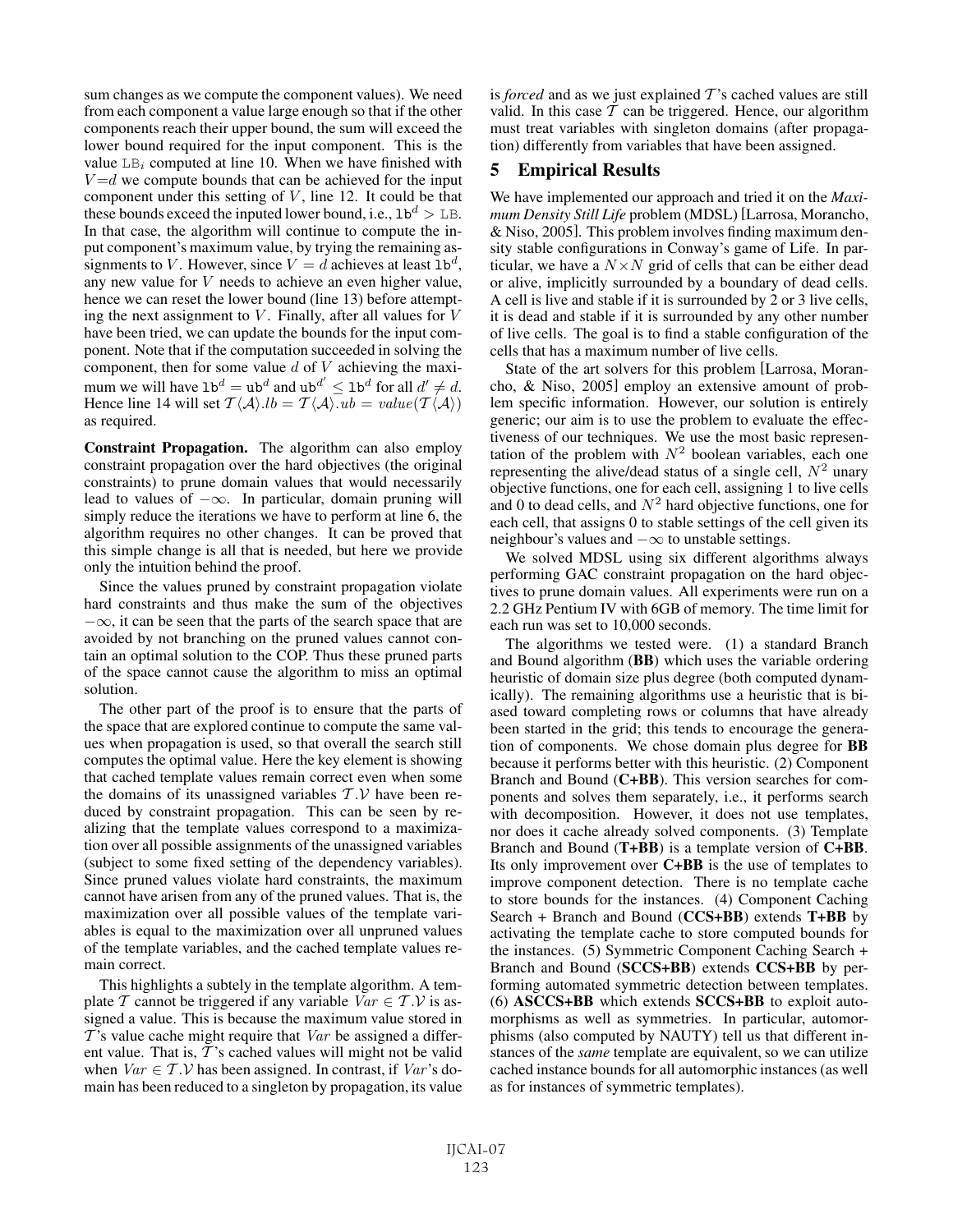sum changes as we compute the component values). We need from each component a value large enough so that if the other components reach their upper bound, the sum will exceed the lower bound required for the input component. This is the value  $LB<sub>i</sub>$  computed at line 10. When we have finished with  $V = d$  we compute bounds that can be achieved for the input component under this setting of  $V$ , line 12. It could be that these bounds exceed the inputed lower bound, i.e.,  $1b^d > LB$ . In that case, the algorithm will continue to compute the input component's maximum value, by trying the remaining assignments to V. However, since  $V = d$  achieves at least  $1\mathbf{b}^d$ , any new value for V needs to achieve an even higher value, hence we can reset the lower bound (line 13) before attempting the next assignment to  $V$ . Finally, after all values for  $V$ have been tried, we can update the bounds for the input component. Note that if the computation succeeded in solving the component, then for some value  $d$  of  $V$  achieving the maximum we will have  $1\mathbf{b}^d = \mathbf{u}\mathbf{b}^d$  and  $\mathbf{u}\mathbf{b}^{d'} \leq 1\mathbf{b}^d$  for all  $d' \neq d$ . Hence line 14 will set  $T \langle A \rangle$ . $lb = T \langle A \rangle$ . $ub = value(T \langle A \rangle)$ as required.

Constraint Propagation. The algorithm can also employ constraint propagation over the hard objectives (the original constraints) to prune domain values that would necessarily lead to values of  $-\infty$ . In particular, domain pruning will simply reduce the iterations we have to perform at line 6, the algorithm requires no other changes. It can be proved that this simple change is all that is needed, but here we provide only the intuition behind the proof.

Since the values pruned by constraint propagation violate hard constraints and thus make the sum of the objectives  $-\infty$ , it can be seen that the parts of the search space that are avoided by not branching on the pruned values cannot contain an optimal solution to the COP. Thus these pruned parts of the space cannot cause the algorithm to miss an optimal solution.

The other part of the proof is to ensure that the parts of the space that are explored continue to compute the same values when propagation is used, so that overall the search still computes the optimal value. Here the key element is showing that cached template values remain correct even when some the domains of its unassigned variables  $T.V$  have been reduced by constraint propagation. This can be seen by realizing that the template values correspond to a maximization over all possible assignments of the unassigned variables (subject to some fixed setting of the dependency variables). Since pruned values violate hard constraints, the maximum cannot have arisen from any of the pruned values. That is, the maximization over all possible values of the template variables is equal to the maximization over all unpruned values of the template variables, and the cached template values remain correct.

This highlights a subtely in the template algorithm. A template T cannot be triggered if any variable  $Var \in T.V$  is assigned a value. This is because the maximum value stored in  $T$ 's value cache might require that  $Var$  be assigned a different value. That is,  $T$ 's cached values will might not be valid when  $Var \in T.V$  has been assigned. In contrast, if  $Var's$  domain has been reduced to a singleton by propagation, its value is *forced* and as we just explained  $T$ 's cached values are still valid. In this case  $T$  can be triggered. Hence, our algorithm must treat variables with singleton domains (after propagation) differently from variables that have been assigned.

# 5 Empirical Results

We have implemented our approach and tried it on the *Maximum Density Still Life* problem (MDSL) [Larrosa, Morancho, & Niso, 2005]. This problem involves finding maximum density stable configurations in Conway's game of Life. In particular, we have a  $N \times N$  grid of cells that can be either dead or alive, implicitly surrounded by a boundary of dead cells. A cell is live and stable if it is surrounded by 2 or 3 live cells, it is dead and stable if it is surrounded by any other number of live cells. The goal is to find a stable configuration of the cells that has a maximum number of live cells.

State of the art solvers for this problem [Larrosa, Morancho, & Niso, 2005] employ an extensive amount of problem specific information. However, our solution is entirely generic; our aim is to use the problem to evaluate the effectiveness of our techniques. We use the most basic representation of the problem with  $N^2$  boolean variables, each one representing the alive/dead status of a single cell,  $N^2$  unary objective functions, one for each cell, assigning 1 to live cells and 0 to dead cells, and  $N^2$  hard objective functions, one for each cell, that assigns 0 to stable settings of the cell given its neighbour's values and  $-\infty$  to unstable settings.

We solved MDSL using six different algorithms always performing GAC constraint propagation on the hard objectives to prune domain values. All experiments were run on a 2.2 GHz Pentium IV with 6GB of memory. The time limit for each run was set to 10,000 seconds.

The algorithms we tested were. (1) a standard Branch and Bound algorithm (BB) which uses the variable ordering heuristic of domain size plus degree (both computed dynamically). The remaining algorithms use a heuristic that is biased toward completing rows or columns that have already been started in the grid; this tends to encourage the generation of components. We chose domain plus degree for BB because it performs better with this heuristic. (2) Component Branch and Bound (C+BB). This version searches for components and solves them separately, i.e., it performs search with decomposition. However, it does not use templates, nor does it cache already solved components. (3) Template Branch and Bound (T+BB) is a template version of C+BB. Its only improvement over  $C + BB$  is the use of templates to improve component detection. There is no template cache to store bounds for the instances. (4) Component Caching Search + Branch and Bound (CCS+BB) extends T+BB by activating the template cache to store computed bounds for the instances. (5) Symmetric Component Caching Search + Branch and Bound (SCCS+BB) extends CCS+BB by performing automated symmetric detection between templates. (6) ASCCS+BB which extends SCCS+BB to exploit automorphisms as well as symmetries. In particular, automorphisms (also computed by NAUTY) tell us that different instances of the *same* template are equivalent, so we can utilize cached instance bounds for all automorphic instances (as well as for instances of symmetric templates).